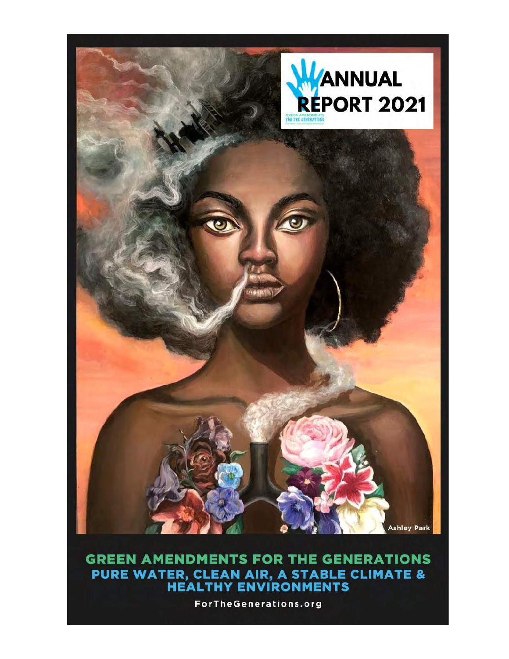

# **GREEN AMENDMENTS FOR THE GENERATIONS** PURE WATER, CLEAN AIR, A STABLE CLIMATE &<br>HEALTHY ENVIRONMENTS

**ForTheGenerations.org**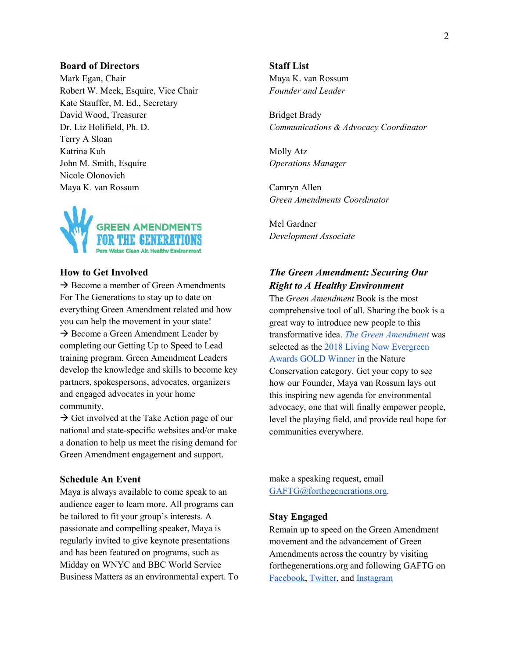#### **Board of Directors**

Mark Egan, Chair Robert W. Meek, Esquire, Vice Chair Kate Stauffer, M. Ed., Secretary David Wood, Treasurer Dr. Liz Holifield, Ph. D. Terry A Sloan Katrina Kuh John M. Smith, Esquire Nicole Olonovich Maya K. van Rossum



#### **How to Get Involved**

 $\rightarrow$  Become a member of Green Amendments For The Generations to stay up to date on everything Green Amendment related and how you can help the movement in your state!  $\rightarrow$  Become a Green Amendment Leader by completing our Getting Up to Speed to Lead training program. Green Amendment Leaders develop the knowledge and skills to become key partners, spokespersons, advocates, organizers and engaged advocates in your home community.

 $\rightarrow$  Get involved at the Take Action page of our national and state-specific websites and/or make a donation to help us meet the rising demand for Green Amendment engagement and support.

#### **Schedule An Event**

Maya is always available to come speak to an audience eager to learn more. All programs can be tailored to fit your group's interests. A passionate and compelling speaker, Maya is regularly invited to give keynote presentations and has been featured on programs, such as Midday on WNYC and BBC World Service Business Matters as an environmental expert. To

## **Staff List**

Maya K. van Rossum *Founder and Leader*

Bridget Brady *Communications & Advocacy Coordinator*

Molly Atz *Operations Manager*

Camryn Allen *Green Amendments Coordinator*

Mel Gardner *Development Associate*

# *The Green Amendment: Securing Our Right to A Healthy Environment*

The *Green Amendment* Book is the most comprehensive tool of all. Sharing the book is a great way to introduce new people to this transformative idea. *The Green [Amendment](https://delaware-riverkeeper-network-river-shop.myshopify.com/products/the-green-amendment-securing-our-right-to-a-healthy-environment)* was selected as the 2018 Living Now [Evergreen](http://www.independentpublisher.com/article.php?page=2340) [Awards](http://www.independentpublisher.com/article.php?page=2340) GOLD Winner in the Nature Conservation category. Get your copy to see how our Founder, Maya van Rossum lays out this inspiring new agenda for environmental advocacy, one that will finally empower people, level the playing field, and provide real hope for communities everywhere.

make a speaking request, email [GAFTG@forthegenerations.org.](mailto:GAFTG@forthegenerations.org)

#### **Stay Engaged**

Remain up to speed on the Green Amendment movement and the advancement of Green Amendments across the country by visiting forthegenerations.org and following GAFTG on [Facebook,](https://www.facebook.com/GreenAmendmentsForTheGenerations) [Twitter,](https://twitter.com/GreenAmendments) and [Instagram](https://www.instagram.com/greenamendments/?hl=en)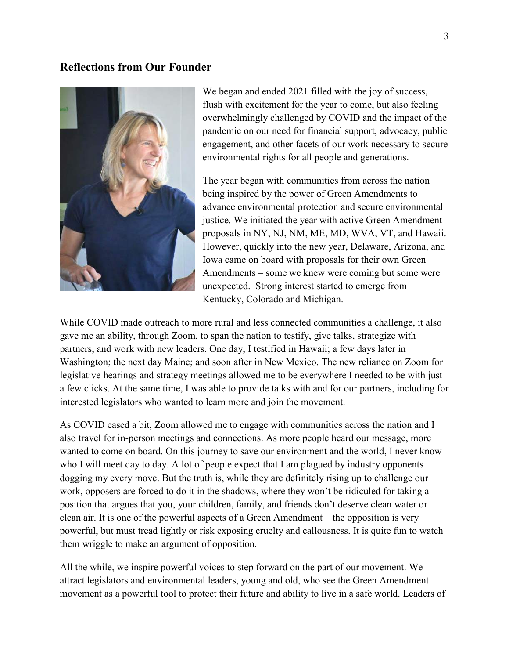# **Reflections from Our Founder**



We began and ended 2021 filled with the joy of success, flush with excitement for the year to come, but also feeling overwhelmingly challenged by COVID and the impact of the pandemic on our need for financial support, advocacy, public engagement, and other facets of our work necessary to secure environmental rights for all people and generations.

The year began with communities from across the nation being inspired by the power of Green Amendments to advance environmental protection and secure environmental justice. We initiated the year with active Green Amendment proposals in NY, NJ, NM, ME, MD, WVA, VT, and Hawaii. However, quickly into the new year, Delaware, Arizona, and Iowa came on board with proposals for their own Green Amendments – some we knew were coming but some were unexpected. Strong interest started to emerge from Kentucky, Colorado and Michigan.

While COVID made outreach to more rural and less connected communities a challenge, it also gave me an ability, through Zoom, to span the nation to testify, give talks, strategize with partners, and work with new leaders. One day, I testified in Hawaii; a few days later in Washington; the next day Maine; and soon after in New Mexico. The new reliance on Zoom for legislative hearings and strategy meetings allowed me to be everywhere I needed to be with just a few clicks. At the same time, I was able to provide talks with and for our partners, including for interested legislators who wanted to learn more and join the movement.

As COVID eased a bit, Zoom allowed me to engage with communities across the nation and I also travel for in-person meetings and connections. As more people heard our message, more wanted to come on board. On this journey to save our environment and the world, I never know who I will meet day to day. A lot of people expect that I am plagued by industry opponents – dogging my every move. But the truth is, while they are definitely rising up to challenge our work, opposers are forced to do it in the shadows, where they won't be ridiculed for taking a position that argues that you, your children, family, and friends don't deserve clean water or clean air. It is one of the powerful aspects of a Green Amendment – the opposition is very powerful, but must tread lightly or risk exposing cruelty and callousness. It is quite fun to watch them wriggle to make an argument of opposition.

All the while, we inspire powerful voices to step forward on the part of our movement. We attract legislators and environmental leaders, young and old, who see the Green Amendment movement as a powerful tool to protect their future and ability to live in a safe world. Leaders of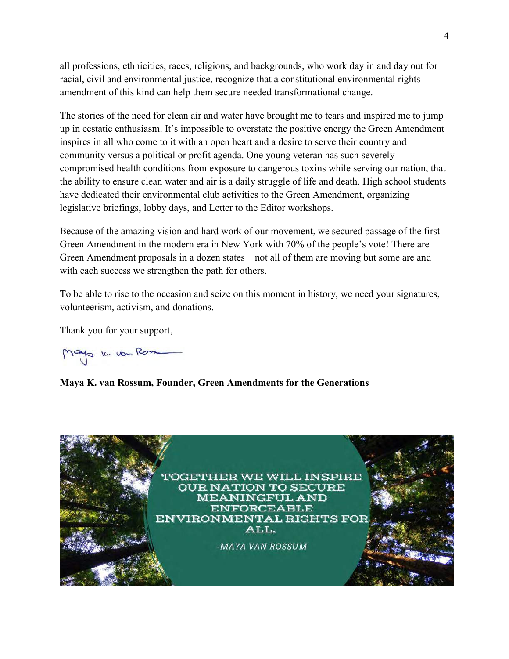all professions, ethnicities, races, religions, and backgrounds, who work day in and day out for racial, civil and environmental justice, recognize that a constitutional environmental rights amendment of this kind can help them secure needed transformational change.

The stories of the need for clean air and water have brought me to tears and inspired me to jump up in ecstatic enthusiasm. It's impossible to overstate the positive energy the Green Amendment inspires in all who come to it with an open heart and a desire to serve their country and community versus a political or profit agenda. One young veteran has such severely compromised health conditions from exposure to dangerous toxins while serving our nation, that the ability to ensure clean water and air is a daily struggle of life and death. High school students have dedicated their environmental club activities to the Green Amendment, organizing legislative briefings, lobby days, and Letter to the Editor workshops.

Because of the amazing vision and hard work of our movement, we secured passage of the first Green Amendment in the modern era in New York with 70% of the people's vote! There are Green Amendment proposals in a dozen states – not all of them are moving but some are and with each success we strengthen the path for others.

To be able to rise to the occasion and seize on this moment in history, we need your signatures, volunteerism, activism, and donations.

Thank you for your support,

Mayo 16. von Rom

**Maya K. van Rossum, Founder, Green Amendments for the Generations**

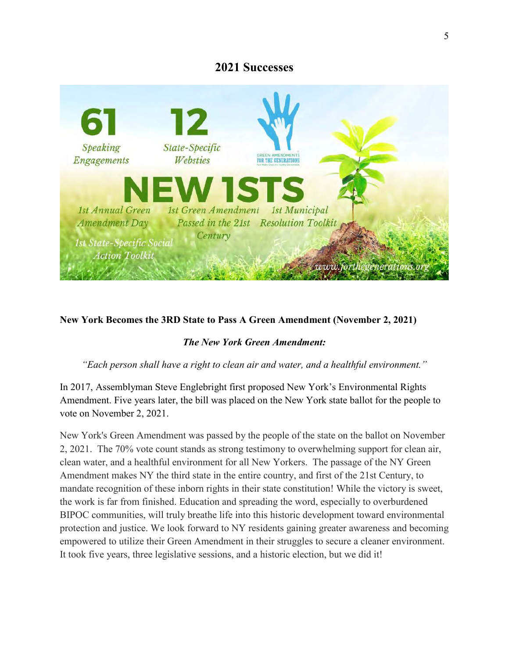# **2021 Successes**



## **New York Becomes the 3RD State to Pass A Green Amendment (November 2, 2021)**

#### *The New York Green Amendment:*

*"Each person shall have a right to clean air and water, and a healthful environment."*

In 2017, Assemblyman Steve Englebright first proposed New York's Environmental Rights Amendment. Five years later, the bill was placed on the New York state ballot for the people to vote on November 2, 2021.

New York's Green Amendment was passed by the people of the state on the ballot on November 2, 2021. The 70% vote count stands as strong testimony to overwhelming support for clean air, clean water, and a healthful environment for all New Yorkers. The passage of the NY Green Amendment makes NY the third state in the entire country, and first of the 21st Century, to mandate recognition of these inborn rights in their state constitution! While the victory is sweet, the work is far from finished. Education and spreading the word, especially to overburdened BIPOC communities, will truly breathe life into this historic development toward environmental protection and justice. We look forward to NY residents gaining greater awareness and becoming empowered to utilize their Green Amendment in their struggles to secure a cleaner environment. It took five years, three legislative sessions, and a historic election, but we did it!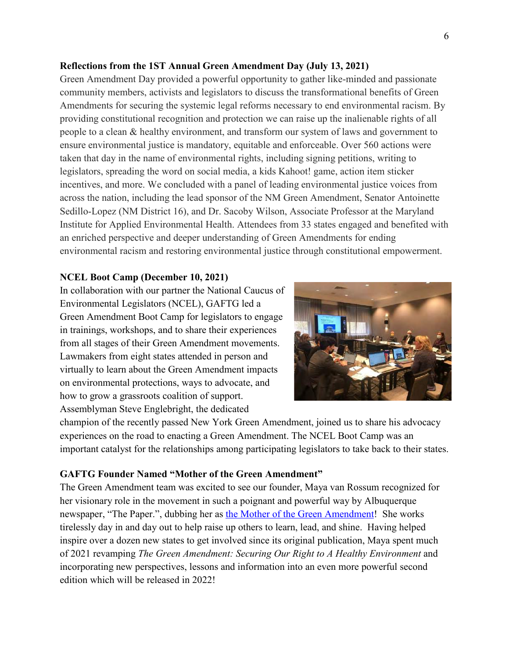#### **Reflections from the 1ST Annual Green Amendment Day (July 13, 2021)**

Green Amendment Day provided a powerful opportunity to gather like-minded and passionate community members, activists and legislators to discuss the transformational benefits of Green Amendments for securing the systemic legal reforms necessary to end environmental racism. By providing constitutional recognition and protection we can raise up the inalienable rights of all people to a clean & healthy environment, and transform our system of laws and government to ensure environmental justice is mandatory, equitable and enforceable. Over 560 actions were taken that day in the name of environmental rights, including signing petitions, writing to legislators, spreading the word on social media, a kids Kahoot! game, action item sticker incentives, and more. We concluded with a panel of leading environmental justice voices from across the nation, including the lead sponsor of the NM Green Amendment, Senator Antoinette Sedillo-Lopez (NM District 16), and Dr. Sacoby Wilson, Associate Professor at the Maryland Institute for Applied Environmental Health. Attendees from 33 states engaged and benefited with an enriched perspective and deeper understanding of Green Amendments for ending environmental racism and restoring environmental justice through constitutional empowerment.

#### **NCEL Boot Camp (December 10, 2021)**

In collaboration with our partner the National Caucus of Environmental Legislators (NCEL), GAFTG led a Green Amendment Boot Camp for legislators to engage in trainings, workshops, and to share their experiences from all stages of their Green Amendment movements. Lawmakers from eight states attended in person and virtually to learn about the Green Amendment impacts on environmental protections, ways to advocate, and how to grow a grassroots coalition of support. Assemblyman Steve Englebright, the dedicated



champion of the recently passed New York Green Amendment, joined us to share his advocacy experiences on the road to enacting a Green Amendment. The NCEL Boot Camp was an important catalyst for the relationships among participating legislators to take back to their states.

#### **GAFTG Founder Named "Mother of the Green Amendment"**

The Green Amendment team was excited to see our founder, Maya van Rossum recognized for her visionary role in the movement in such a poignant and powerful way by Albuquerque newspaper, "The Paper.", dubbing her as the Mother of the Green [Amendment!](https://abq.news/2021/12/the-mother-of-the-green-amendment-comes-back-to-nm/) She works tirelessly day in and day out to help raise up others to learn, lead, and shine. Having helped inspire over a dozen new states to get involved since its original publication, Maya spent much of 2021 revamping *The Green Amendment: Securing Our Right to A Healthy Environment* and incorporating new perspectives, lessons and information into an even more powerful second edition which will be released in 2022!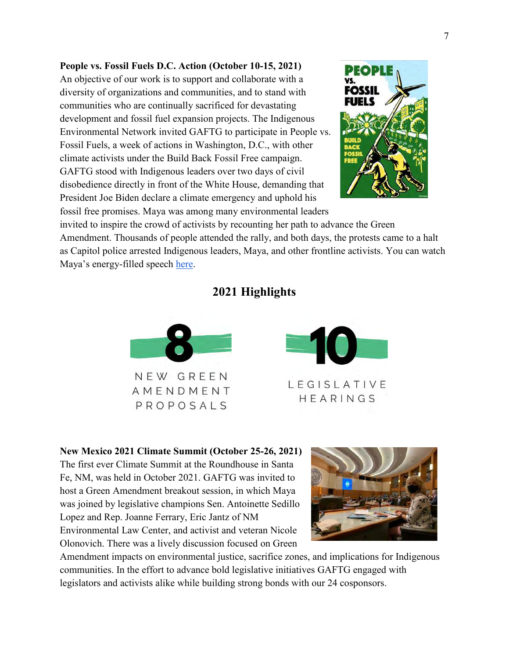# **People vs. Fossil Fuels D.C. Action (October 10-15, 2021)**

An objective of our work is to support and collaborate with a diversity of organizations and communities, and to stand with communities who are continually sacrificed for devastating development and fossil fuel expansion projects. The Indigenous Environmental Network invited GAFTG to participate in People vs. Fossil Fuels, a week of actions in Washington, D.C., with other climate activists under the Build Back Fossil Free campaign. GAFTG stood with Indigenous leaders over two days of civil disobedience directly in front of the White House, demanding that President Joe Biden declare a climate emergency and uphold his fossil free promises. Maya was among many environmental leaders



invited to inspire the crowd of activists by recounting her path to advance the Green Amendment. Thousands of people attended the rally, and both days, the protests came to a halt as Capitol police arrested Indigenous leaders, Maya, and other frontline activists. You can watch Maya's energy-filled speech [here.](https://youtu.be/H3x4UTfXk2Y)

# **2021 Highlights**





**New Mexico 2021 Climate Summit (October 25-26, 2021)**

The first ever Climate Summit at the Roundhouse in Santa Fe, NM, was held in October 2021. GAFTG was invited to host a Green Amendment breakout session, in which Maya was joined by legislative champions Sen. Antoinette Sedillo Lopez and Rep. Joanne Ferrary, Eric Jantz of NM Environmental Law Center, and activist and veteran Nicole Olonovich. There was a lively discussion focused on Green



Amendment impacts on environmental justice, sacrifice zones, and implications for Indigenous communities. In the effort to advance bold legislative initiatives GAFTG engaged with legislators and activists alike while building strong bonds with our 24 cosponsors.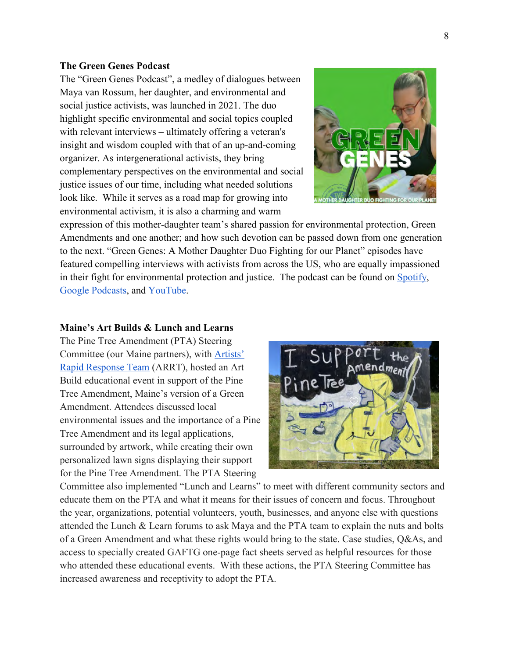#### **The Green Genes Podcast**

The "Green Genes Podcast", a medley of dialogues between Maya van Rossum, her daughter, and environmental and social justice activists, was launched in 2021. The duo highlight specific environmental and social topics coupled with relevant interviews – ultimately offering a veteran's insight and wisdom coupled with that of an up-and-coming organizer. As intergenerational activists, they bring complementary perspectives on the environmental and social justice issues of our time, including what needed solutions look like. While it serves as a road map for growing into environmental activism, it is also a charming and warm



expression of this mother-daughter team's shared passion for environmental protection, Green Amendments and one another; and how such devotion can be passed down from one generation to the next. "Green Genes: A Mother Daughter Duo Fighting for our Planet" episodes have featured compelling interviews with activists from across the US, who are equally impassioned in their fight for environmental protection and justice. The podcast can be found on [Spotify,](https://open.spotify.com/show/2iPy90DPwyoTNjjVoN6V7o?si=301163a54d9a49b7) Google [Podcasts,](https://podcasts.google.com/feed/aHR0cHM6Ly9hbmNob3IuZm0vcy82ZGRlZmI2Yy9wb2RjYXN0L3Jzcw/episode/ODQ1MzVmZmYtMmYzYS00M2U2LTkwYjQtNjI4ODNkZmI0NjJh?hl=en&ved=2ahUKEwjfu_qE_430AhWnct8KHUefAMIQjrkEegQIAhAF&ep=6) and [YouTube.](https://youtu.be/FddGlMpsunE)

#### **Maine's Art Builds & Lunch and Learns**

The Pine Tree Amendment (PTA) Steering Committee (our Maine partners), with [Artists'](https://www.arrteam.org/) Rapid [Response](https://www.arrteam.org/) Team (ARRT), hosted an Art Build educational event in support of the Pine Tree Amendment, Maine's version of a Green Amendment. Attendees discussed local environmental issues and the importance of a Pine Tree Amendment and its legal applications, surrounded by artwork, while creating their own personalized lawn signs displaying their support for the Pine Tree Amendment. The PTA Steering



Committee also implemented "Lunch and Learns" to meet with different community sectors and educate them on the PTA and what it means for their issues of concern and focus. Throughout the year, organizations, potential volunteers, youth, businesses, and anyone else with questions attended the Lunch & Learn forums to ask Maya and the PTA team to explain the nuts and bolts of a Green Amendment and what these rights would bring to the state. Case studies, Q&As, and access to specially created GAFTG one-page fact sheets served as helpful resources for those who attended these educational events. With these actions, the PTA Steering Committee has increased awareness and receptivity to adopt the PTA.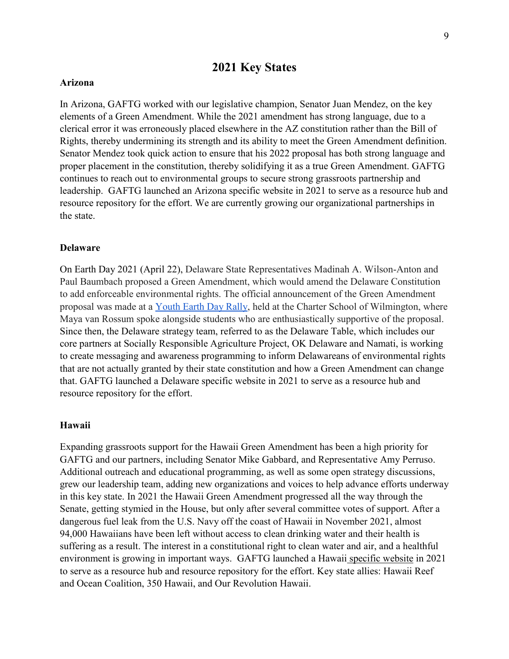# **2021 Key States**

#### **Arizona**

In Arizona, GAFTG worked with our legislative champion, Senator Juan Mendez, on the key elements of a Green Amendment. While the 2021 amendment has strong language, due to a clerical error it was erroneously placed elsewhere in the AZ constitution rather than the Bill of Rights, thereby undermining its strength and its ability to meet the Green Amendment definition. Senator Mendez took quick action to ensure that his 2022 proposal has both strong language and proper placement in the constitution, thereby solidifying it as a true Green Amendment. GAFTG continues to reach out to environmental groups to secure strong grassroots partnership and leadership. GAFTG launched an Arizona specific website in 2021 to serve as a resource hub and resource repository for the effort. We are currently growing our organizational partnerships in the state.

#### **Delaware**

On Earth Day 2021 (April 22), Delaware State Representatives Madinah A. Wilson-Anton and Paul Baumbach proposed a Green Amendment, which would amend the Delaware Constitution to add enforceable environmental rights. The official announcement of the Green Amendment proposal was made at a [Youth](https://www.youtube.com/watch?v=YbWPxyUYuBQ) Earth Day Rally, held at the Charter School of Wilmington, where Maya van Rossum spoke alongside students who are enthusiastically supportive of the proposal. Since then, the Delaware strategy team, referred to as the Delaware Table, which includes our core partners at Socially Responsible Agriculture Project, OK Delaware and Namati, is working to create messaging and awareness programming to inform Delawareans of environmental rights that are not actually granted by their state constitution and how a Green Amendment can change that. GAFTG launched a Delaware specific website in 2021 to serve as a resource hub and resource repository for the effort.

#### **Hawaii**

Expanding grassroots support for the Hawaii Green Amendment has been a high priority for GAFTG and our partners, including Senator Mike Gabbard, and Representative Amy Perruso. Additional outreach and educational programming, as well as some open strategy discussions, grew our leadership team, adding new organizations and voices to help advance efforts underway in this key state. In 2021 the Hawaii Green Amendment progressed all the way through the Senate, getting stymied in the House, but only after several committee votes of support. After a dangerous fuel leak from the U.S. Navy off the coast of Hawaii in November 2021, almost 94,000 Hawaiians have been left without access to clean drinking water and their health is suffering as a result. The interest in a constitutional right to clean water and air, and a healthful environment is growing in important ways. GAFTG launched a Hawaii [specific](https://higreenamendment.org/) website in 2021 to serve as a resource hub and resource repository for the effort. Key state allies: Hawaii Reef and Ocean Coalition, 350 Hawaii, and Our Revolution Hawaii.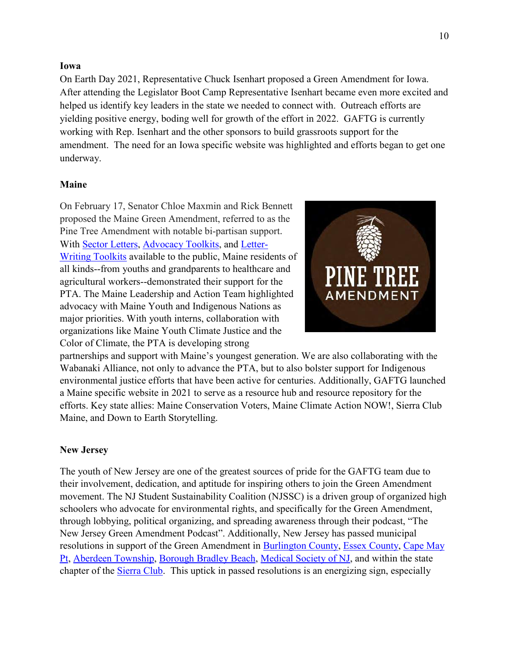#### **Iowa**

On Earth Day 2021, Representative Chuck Isenhart proposed a Green Amendment for Iowa. After attending the Legislator Boot Camp Representative Isenhart became even more excited and helped us identify key leaders in the state we needed to connect with. Outreach efforts are yielding positive energy, boding well for growth of the effort in 2022. GAFTG is currently working with Rep. Isenhart and the other sponsors to build grassroots support for the amendment. The need for an Iowa specific website was highlighted and efforts began to get one underway.

#### **Maine**

On February 17, Senator Chloe Maxmin and Rick Bennett proposed the Maine Green Amendment, referred to as the Pine Tree Amendment with notable bi-partisan support. With Sector [Letters,](https://www.pinetreeamendment.org/advocacy-toolkit) [Advocacy](https://www.pinetreeamendment.org/advocacy-toolkit) Toolkits, and [Letter-](https://www.pinetreeamendment.org/letter-writing-tool-kit)Writing [Toolkits](https://www.pinetreeamendment.org/letter-writing-tool-kit) available to the public, Maine residents of all kinds--from youths and grandparents to healthcare and agricultural workers--demonstrated their support for the PTA. The Maine Leadership and Action Team highlighted advocacy with Maine Youth and Indigenous Nations as major priorities. With youth interns, collaboration with organizations like Maine Youth Climate Justice and the Color of Climate, the PTA is developing strong



partnerships and support with Maine's youngest generation. We are also collaborating with the Wabanaki Alliance, not only to advance the PTA, but to also bolster support for Indigenous environmental justice efforts that have been active for centuries. Additionally, GAFTG launched a Maine specific website in 2021 to serve as a resource hub and resource repository for the efforts. Key state allies: Maine Conservation Voters, Maine Climate Action NOW!, Sierra Club Maine, and Down to Earth Storytelling.

#### **New Jersey**

The youth of New Jersey are one of the greatest sources of pride for the GAFTG team due to their involvement, dedication, and aptitude for inspiring others to join the Green Amendment movement. The NJ Student Sustainability Coalition (NJSSC) is a driven group of organized high schoolers who advocate for environmental rights, and specifically for the Green Amendment, through lobbying, political organizing, and spreading awareness through their podcast, "The New Jersey Green Amendment Podcast". Additionally, New Jersey has passed municipal resolutions in support of the Green Amendment in [Burlington](https://njgreenamendment.org/wp-content/uploads/sites/6/2021-Burlco-Green-Amendment-Resolution.pdf) County, Essex [County,](https://forthegenerations.org/wp-content/uploads/2019/02/SD-NJ-20181107-Essex-County-Board-of-Freeholders-Resolution-in-Support-of-the-NJ-Green-Amendment.pdf) [Cape](https://njgreenamendment.org/resources/) May [Pt,](https://njgreenamendment.org/resources/) Aberdeen [Township,](https://forthegenerations.org/wp-content/uploads/2020/05/Aberdeen-Township.pdf) [Borough](https://forthegenerations.org/wp-content/uploads/2020/05/Borough-Bradley-Beach-RESOLUTION-2020.77-GREEN-AMENDMENT.pdf) Bradley Beach, [Medical](https://forthegenerations.org/wp-content/uploads/2019/02/SD-NJ-2018-Medical-Society-of-New-Jersey-Resolution-in-Support-of-the-NJ-Green-Amendment.pdf) Society of NJ, and within the state chapter of the **Sierra Club**. This uptick in passed resolutions is an energizing sign, especially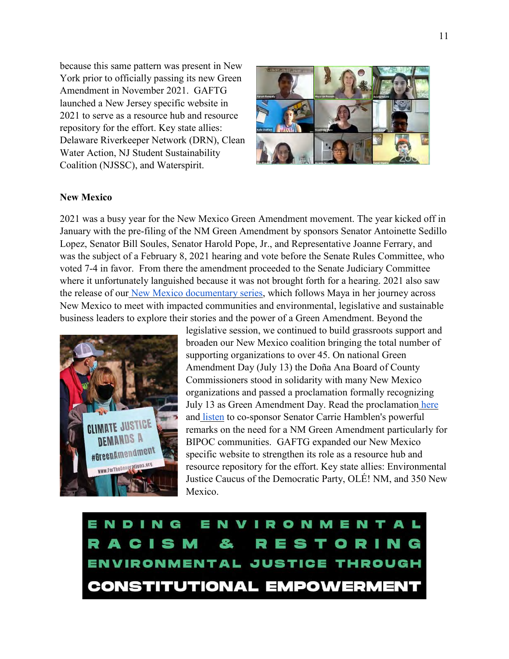because this same pattern was present in New York prior to officially passing its new Green Amendment in November 2021. GAFTG launched a New Jersey specific website in 2021 to serve as a resource hub and resource repository for the effort. Key state allies: Delaware Riverkeeper Network (DRN), Clean Water Action, NJ Student Sustainability Coalition (NJSSC), and Waterspirit.



## **New Mexico**

2021 was a busy year for the New Mexico Green Amendment movement. The year kicked off in January with the pre-filing of the NM Green Amendment by sponsors Senator Antoinette Sedillo Lopez, Senator Bill Soules, Senator Harold Pope, Jr., and Representative Joanne Ferrary, and was the subject of a February 8, 2021 hearing and vote before the Senate Rules Committee, who voted 7-4 in favor. From there the amendment proceeded to the Senate Judiciary Committee where it unfortunately languished because it was not brought forth for a hearing. 2021 also saw the release of our New Mexico [documentary](https://nmgreenamendment.org/the-green-amendment/green-amendment-story/) series, which follows Maya in her journey across New Mexico to meet with impacted communities and environmental, legislative and sustainable business leaders to explore their stories and the power of a Green Amendment. Beyond the



legislative session, we continued to build grassroots support and broaden our New Mexico coalition bringing the total number of supporting organizations to over 45. On national Green Amendment Day (July 13) the Doña Ana Board of County Commissioners stood in solidarity with many New Mexico organizations and passed a proclamation formally recognizing July 13 as Green Amendment Day. Read the proclamation [here](https://civicclerk.blob.core.windows.net/stream/DONAANACONM/fca57d6f96.pdf?sv=2015-12-11&sr=b&sig=pSWdof61iyNkP7LeLa8bJsssejysVLCZsHqjLokI8M8%3D&st=2021-07-20T13%3A11%3A27Z&se=2022-07-20T13%3A16%3A27Z&sp=r&rscc=no-cache&rsct=application%2Fpdf) and [listen](https://www.youtube.com/watch?v=GZQ6LePRvCI) to co-sponsor Senator Carrie Hamblen's powerful remarks on the need for a NM Green Amendment particularly for BIPOC communities. GAFTG expanded our New Mexico specific website to strengthen its role as a resource hub and resource repository for the effort. Key state allies: Environmental Justice Caucus of the Democratic Party, OLÉ! NM, and 350 New Mexico.

ENDING N V **IRONMENTA** R A C I S M & R **Separate** s T. IN G ENVIRONMENTAL JUSTICE THROUGH **CONSTITUTIONAL EMPOWERMENT**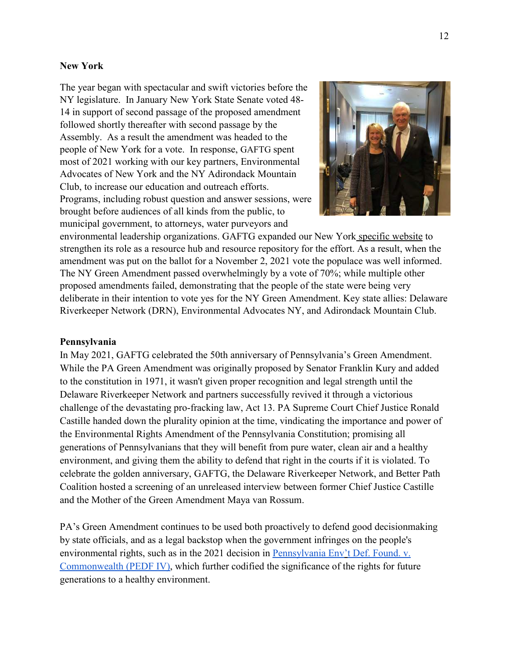#### **New York**

The year began with spectacular and swift victories before the NY legislature. In January New York State Senate voted 48- 14 in support of second passage of the proposed amendment followed shortly thereafter with second passage by the Assembly. As a result the amendment was headed to the people of New York for a vote. In response, GAFTG spent most of 2021 working with our key partners, Environmental Advocates of New York and the NY Adirondack Mountain Club, to increase our education and outreach efforts. Programs, including robust question and answer sessions, were brought before audiences of all kinds from the public, to municipal government, to attorneys, water purveyors and



environmental leadership organizations. GAFTG expanded our New York [specific](https://nygreenamendment.org/) website to strengthen its role as a resource hub and resource repository for the effort. As a result, when the amendment was put on the ballot for a November 2, 2021 vote the populace was well informed. The NY Green Amendment passed overwhelmingly by a vote of 70%; while multiple other proposed amendments failed, demonstrating that the people of the state were being very deliberate in their intention to vote yes for the NY Green Amendment. Key state allies: Delaware Riverkeeper Network (DRN), Environmental Advocates NY, and Adirondack Mountain Club.

#### **Pennsylvania**

In May 2021, GAFTG celebrated the 50th anniversary of Pennsylvania's Green Amendment. While the PA Green Amendment was originally proposed by Senator Franklin Kury and added to the constitution in 1971, it wasn't given proper recognition and legal strength until the Delaware Riverkeeper Network and partners successfully revived it through a victorious challenge of the devastating pro-fracking law, Act 13. PA Supreme Court Chief Justice Ronald Castille handed down the plurality opinion at the time, vindicating the importance and power of the Environmental Rights Amendment of the Pennsylvania Constitution; promising all generations of Pennsylvanians that they will benefit from pure water, clean air and a healthy environment, and giving them the ability to defend that right in the courts if it is violated. To celebrate the golden anniversary, GAFTG, the Delaware Riverkeeper Network, and Better Path Coalition hosted a screening of an unreleased interview between former Chief Justice Castille and the Mother of the Green Amendment Maya van Rossum.

PA's Green Amendment continues to be used both proactively to defend good decisionmaking by state officials, and as a legal backstop when the government infringes on the people's environmental rights, such as in the 2021 decision in [Pennsylvania](https://forthegenerations.org/wp-content/uploads/PEDF-iv-Final.pdf) Env't Def. Found. v. [Commonwealth](https://forthegenerations.org/wp-content/uploads/PEDF-iv-Final.pdf) (PEDF IV), which further codified the significance of the rights for future generations to a healthy environment.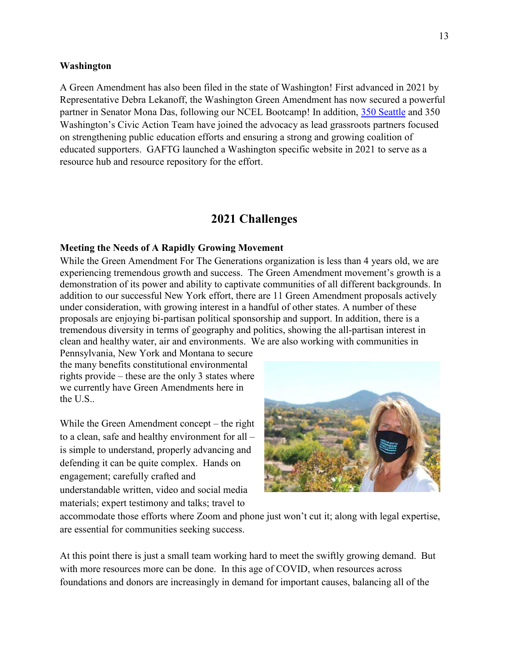#### **Washington**

A Green Amendment has also been filed in the state of Washington! First advanced in 2021 by Representative Debra Lekanoff, the Washington Green Amendment has now secured a powerful partner in Senator Mona Das, following our NCEL Bootcamp! In addition, 350 [Seattle](https://350seattle.org/) and 350 Washington's Civic Action Team have joined the advocacy as lead grassroots partners focused on strengthening public education efforts and ensuring a strong and growing coalition of educated supporters. GAFTG launched a Washington specific website in 2021 to serve as a resource hub and resource repository for the effort.

# **2021 Challenges**

#### **Meeting the Needs of A Rapidly Growing Movement**

While the Green Amendment For The Generations organization is less than 4 years old, we are experiencing tremendous growth and success. The Green Amendment movement's growth is a demonstration of its power and ability to captivate communities of all different backgrounds. In addition to our successful New York effort, there are 11 Green Amendment proposals actively under consideration, with growing interest in a handful of other states. A number of these proposals are enjoying bi-partisan political sponsorship and support. In addition, there is a tremendous diversity in terms of geography and politics, showing the all-partisan interest in clean and healthy water, air and environments. We are also working with communities in

Pennsylvania, New York and Montana to secure the many benefits constitutional environmental rights provide – these are the only 3 states where we currently have Green Amendments here in the U.S..

While the Green Amendment concept – the right to a clean, safe and healthy environment for all – is simple to understand, properly advancing and defending it can be quite complex. Hands on engagement; carefully crafted and understandable written, video and social media materials; expert testimony and talks; travel to



accommodate those efforts where Zoom and phone just won't cut it; along with legal expertise, are essential for communities seeking success.

At this point there is just a small team working hard to meet the swiftly growing demand. But with more resources more can be done. In this age of COVID, when resources across foundations and donors are increasingly in demand for important causes, balancing all of the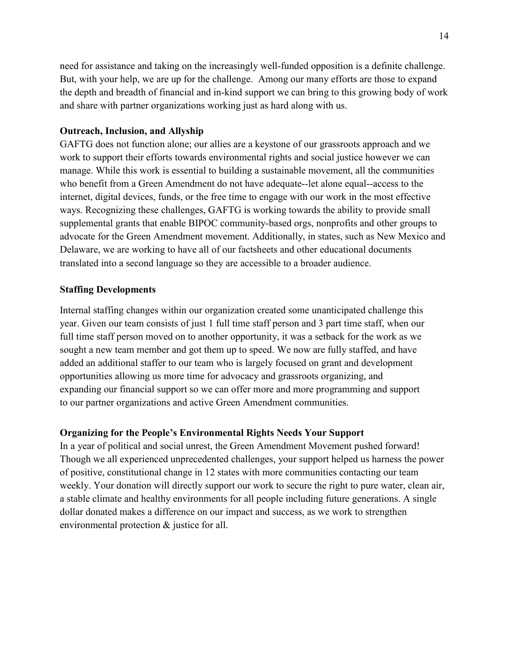need for assistance and taking on the increasingly well-funded opposition is a definite challenge. But, with your help, we are up for the challenge. Among our many efforts are those to expand the depth and breadth of financial and in-kind support we can bring to this growing body of work and share with partner organizations working just as hard along with us.

#### **Outreach, Inclusion, and Allyship**

GAFTG does not function alone; our allies are a keystone of our grassroots approach and we work to support their efforts towards environmental rights and social justice however we can manage. While this work is essential to building a sustainable movement, all the communities who benefit from a Green Amendment do not have adequate--let alone equal--access to the internet, digital devices, funds, or the free time to engage with our work in the most effective ways. Recognizing these challenges, GAFTG is working towards the ability to provide small supplemental grants that enable BIPOC community-based orgs, nonprofits and other groups to advocate for the Green Amendment movement. Additionally, in states, such as New Mexico and Delaware, we are working to have all of our factsheets and other educational documents translated into a second language so they are accessible to a broader audience.

#### **Staffing Developments**

Internal staffing changes within our organization created some unanticipated challenge this year. Given our team consists of just 1 full time staff person and 3 part time staff, when our full time staff person moved on to another opportunity, it was a setback for the work as we sought a new team member and got them up to speed. We now are fully staffed, and have added an additional staffer to our team who is largely focused on grant and development opportunities allowing us more time for advocacy and grassroots organizing, and expanding our financial support so we can offer more and more programming and support to our partner organizations and active Green Amendment communities.

#### **Organizing for the People's Environmental Rights Needs Your Support**

In a year of political and social unrest, the Green Amendment Movement pushed forward! Though we all experienced unprecedented challenges, your support helped us harness the power of positive, constitutional change in 12 states with more communities contacting our team weekly. Your donation will directly support our work to secure the right to pure water, clean air, a stable climate and healthy environments for all people including future generations. A single dollar donated makes a difference on our impact and success, as we work to strengthen environmental protection & justice for all.